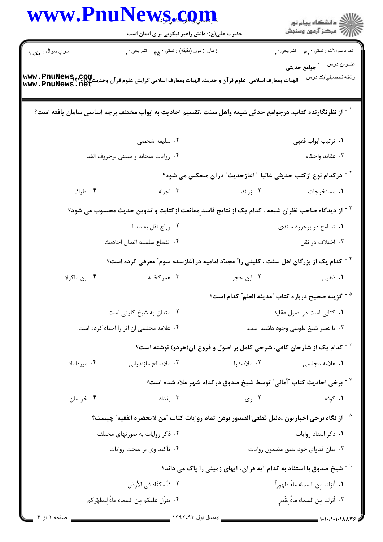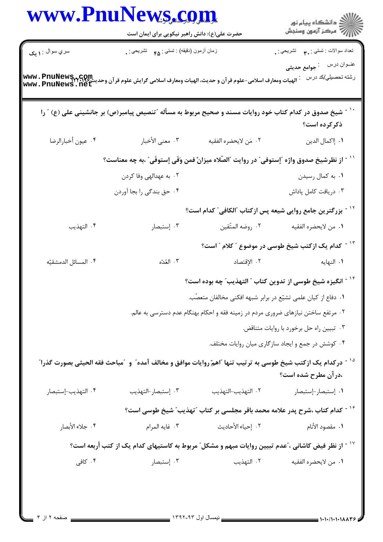|                        | حضرت علی(ع): دانش راهبر نیکویی برای ایمان است                                                                                    |                                                                                   | ر<br>دانشڪاه پيام نور)<br>ا∛ مرڪز آزمون وسنڊش                    |  |
|------------------------|----------------------------------------------------------------------------------------------------------------------------------|-----------------------------------------------------------------------------------|------------------------------------------------------------------|--|
| سري سوال : <b>۱ يک</b> | زمان أزمون (دقيقه) : تستي : <sub>۴۵</sub> تشريحي : <sub>.</sub>                                                                  |                                                                                   | تعداد سوالات : تستي : ٣ <sub>٠</sub> ٠     تشريحي : <sub>.</sub> |  |
|                        | www . PnuNews<br> الهيات ومعارف اسلامي-علوم قر آن و حديث، الهيات ومعارف اسلامي گرايش علوم قر آن وحديث www . PnuNews . net        |                                                                                   | رشته تحصيلي/كد درس                                               |  |
|                        | شیخ صدوق در کدام کتاب خود روایات مسند و صحیح مربوط به مسأله "تنصیص پیامبر(ص) بر جانشینی علی (ع) " را                             |                                                                                   | ذکرکرده است؟                                                     |  |
| ۰۴ عيون أخبارالرضا     | ٠٣ معنى الأخبار                                                                                                                  | ٠٢ مَن لايحضره الفقيه                                                             | ٠١. إاكمال الدين                                                 |  |
|                        | `` - از نظرشیخ صدوق واژه ″إستوفی″ در روایت ″الصّلاه میزانٌ فمن وَفَی إستوفَی″ ،به چه معناست؟                                     |                                                                                   |                                                                  |  |
|                        | ۰۲ به عهدالهي وفا كردن                                                                                                           |                                                                                   | ۰۱ به کمال رسیدن                                                 |  |
|                        | ۰۴ حق بندگی را بجا آوردن                                                                                                         |                                                                                   | ٠٣ دريافت كامل پاداش                                             |  |
|                        |                                                                                                                                  | <sup>۱۲ -</sup> بزرگترین جامع روایی شیعه پس ازکتاب <b>"الکافی" کدام است؟</b>      |                                                                  |  |
| ۰۴ التهذيب             | ۰۳ إستبصار                                                                                                                       | ٢.  روضه المتّقين                                                                 | ٠١ من لايحضره الفقيه                                             |  |
|                        |                                                                                                                                  |                                                                                   | <sup>۱۳ -</sup> کدام یک ازکتب شیخ طوسی در موضوع " کلام " است؟    |  |
| ۴. المسائل الدمشقيّه   | ٠٣ العُدّه                                                                                                                       | ٢. الإقتصاد                                                                       | <b>۱.</b> النهايه                                                |  |
|                        |                                                                                                                                  | <sup>۱۴ -</sup> انگیزه شیخ طوسی از تدوین کتاب ″ التهذیب″ چه بوده است؟             |                                                                  |  |
|                        |                                                                                                                                  | ٠١. دفاع از كيان علمي تشيّع در برابر شبهه افكني مخالفان متعصّب.                   |                                                                  |  |
|                        |                                                                                                                                  | ۰۲ مرتفع ساختن نیازهای ضروری مردم در زمینه فقه و احکام بهنگام عدم دسترسی به عالم. |                                                                  |  |
|                        |                                                                                                                                  | ۰۳ تبيين راه حل برخورد با روايات متناقض.                                          |                                                                  |  |
|                        |                                                                                                                                  |                                                                                   | ۰۴ کوشش در جمع و ایجاد سازگاری میان روایات مختلف.                |  |
|                        | <sup>۱۵ -</sup> دركدام یک ازکتب شیخ طوسی به ترتیب تنها آاهمّ روایات موافق و مخالف آمده ّ و گمباحث فقه الحیثی بصورت گذرا <i>"</i> |                                                                                   | ،درآن مطرح شده است؟                                              |  |
| ۰۴ التهذيب-إستبصار     | ۰۳ إستبصار-التهذيب                                                                                                               | ٠٢ التهذيب-التهذيب                                                                | ۰۱ إستبصار-إستبصار                                               |  |
|                        |                                                                                                                                  | ۱۶ - کدام کتاب ،شرح پدر علامه محمد باقر مجلسی بر کتاب "تهذیب" شیخ طوسی است؟       |                                                                  |  |
| ۰۴ جلاء الأبصار        | ۰۳ غايه المرام                                                                                                                   | ٢. إحياء الأحاديث                                                                 | ٠١. مقصود الأنام                                                 |  |
|                        | ٔ ' آ ز نظر فیض کاشانی ، ّعدم تبیین روایات مبهم و مشکل ّ مربوط به کاستیهای کدام یک از کتب أربعه است؟                             |                                                                                   |                                                                  |  |
| ۰۴ کافی                | ۰۳ إستبصار                                                                                                                       | ٠٢ التهذيب                                                                        | ٠١ من لايحضره الفقيه                                             |  |

Ĭ.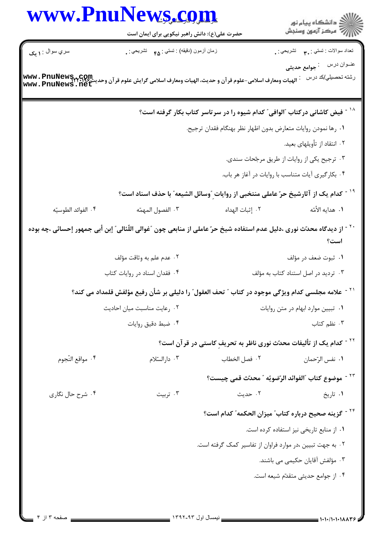|                     | www.PnuNews.com<br>حضرت علی(ع): دانش راهبر نیکویی برای ایمان است                                                          |                                                               | الاد دانشگاه پيام نور<br>الا مرکز آزمون وسنجش                                                                                  |  |
|---------------------|---------------------------------------------------------------------------------------------------------------------------|---------------------------------------------------------------|--------------------------------------------------------------------------------------------------------------------------------|--|
| سري سوال : ۱ يک     | زمان أزمون (دقيقه) : تستي : ۴۵ — تشريحي : .                                                                               |                                                               | نعداد سوالات : تستبي : ٣ <b>.</b> تشريحي : .                                                                                   |  |
|                     | www . PnuNews<br> الهيات ومعارف اسلامى-علوم قر آن و حديث، الهيات ومعارف اسلامى گرايش علوم قر آن وحديث www . PnuNews . net |                                                               | عنــوان درس       : جوامع حديثى<br>رشته تحصىل <i>ي </i> كد درس :                                                               |  |
|                     |                                                                                                                           |                                                               | <sup>۱۸ -</sup> فیض کاشانی درکتاب <b>ًالوافی ً کدام شیوه را در سرتاسر کتاب بکار</b> گرفته است؟                                 |  |
|                     |                                                                                                                           | ٠١ رها نمودن روايات متعارض بدون اظهار نظر بهنگام فقدان ترجيح. |                                                                                                                                |  |
|                     |                                                                                                                           |                                                               | ۰۲ انتقاد از تأويلهاي بعيد.                                                                                                    |  |
|                     |                                                                                                                           |                                                               | ۰۳ ترجیح یکی از روایات از طریق مرجّحات سندی.                                                                                   |  |
|                     |                                                                                                                           |                                                               | ۰۴ بکارگیری آیات متناسب با روایات در آغاز هر باب.                                                                              |  |
|                     |                                                                                                                           |                                                               | <sup>۱۹ -</sup> كدام یک از آثارشیخ حرّ عاملی منتخبی از روایات ِ ّوسائل الشیعه ّ با حذف اسناد است؟                              |  |
| ۰۴ الفوائد الطوسيّه | ٠٣ الفصول المهمّه                                                                                                         | ٠٢ إثبات الهداه                                               | ٠١. هدايه الأمّه                                                                                                               |  |
|                     |                                                                                                                           |                                                               | `` - از دیدگاه محدّث نوری ،دلیل عدم استفاده شیخ حرّ عاملی از منابعی چون "غوالی اللّئالی" إبن أبی جمهور إحسائی ،چه بوده<br>است؟ |  |
|                     | ٢. عدم علم به وثاقت مؤلف                                                                                                  |                                                               | ۰۱ ثبوت ضعف در مؤلف                                                                                                            |  |
|                     | ۰۴ فقدان اسناد در روایات کتاب                                                                                             | ۰۳ تردید در اصل استناد کتاب به مؤلف                           |                                                                                                                                |  |
|                     | علامه مجلسی کدام ویژگی موجود در کتاب ″ تحف العقول″ را دلیلی بر شأن رفیع مؤلفش قلمداد می کند؟                              |                                                               |                                                                                                                                |  |
|                     | ٢. رعايت مناسبت ميان احاديث                                                                                               |                                                               | ٠١ تبيين موارد ابهام در متن روايات                                                                                             |  |
|                     | ۰۴ ضبط دقيق روايات                                                                                                        |                                                               | ۰۳ نظم کتاب                                                                                                                    |  |
|                     |                                                                                                                           |                                                               | <sup>۲۲ -</sup> کدام یک از تألیفات محدّث نوری ناظر به تحریفِ کاستی در قرآن است؟                                                |  |
| ۰۴ مواقع النّجوم    | ۰۳ دارالستلام                                                                                                             | ٢. فصل الخطاب                                                 | ٠١. نفس الرّحمان                                                                                                               |  |
|                     |                                                                                                                           |                                                               | <sup>٢٣ -</sup> موضوع كتاب "الفوائد الرّضويّه " محدّث قمي چيست؟                                                                |  |
| ۰۴ شرح حال نگاری    | ۰۳ تربیت                                                                                                                  | ۰۲ حديث                                                       | ۰۱ تاریخ                                                                                                                       |  |
|                     |                                                                                                                           |                                                               | <sup>۲۴ -</sup> گزینه صحیح درباره کتاب ؒ میزان الحکمه ؒ کدام است؟                                                              |  |
|                     |                                                                                                                           |                                                               | ٠١ از منابع تاريخي نيز استفاده كرده است.                                                                                       |  |
|                     |                                                                                                                           |                                                               | ۰۲ به جهت تبیین ،در موارد فراوان از تفاسیر کمک گرفته است.                                                                      |  |
|                     |                                                                                                                           |                                                               | ۰۳ مؤلفش آقایان حکیمی می باشند.                                                                                                |  |
|                     |                                                                                                                           |                                                               | ۰۴ از جوامع حدیثی متقدّم شیعه است.                                                                                             |  |
|                     |                                                                                                                           |                                                               |                                                                                                                                |  |
|                     |                                                                                                                           |                                                               |                                                                                                                                |  |